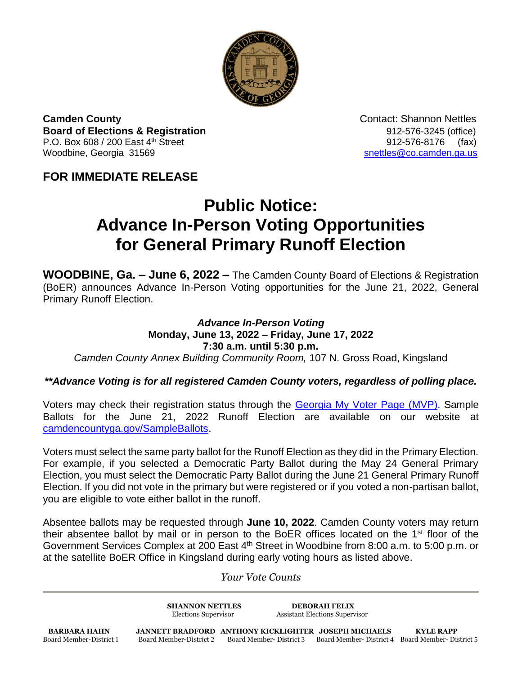

**Camden County Contact: Shannon Nettles Board of Elections & Registration** 8. **Board of Elections & Registration** P.O. Box 608 / 200 East 4<sup>th</sup> Street 912-576-8176 (fax) Woodbine, Georgia 31569 [snettles@co.camden.ga.us](mailto:snettles@co.camden.ga.us)

**FOR IMMEDIATE RELEASE**

## **Public Notice: Advance In-Person Voting Opportunities for General Primary Runoff Election**

**WOODBINE, Ga. – June 6, 2022 –** The Camden County Board of Elections & Registration (BoER) announces Advance In-Person Voting opportunities for the June 21, 2022, General Primary Runoff Election.

## *Advance In-Person Voting* **Monday, June 13, 2022 – Friday, June 17, 2022 7:30 a.m. until 5:30 p.m.** *Camden County Annex Building Community Room,* 107 N. Gross Road, Kingsland

## *\*\*Advance Voting is for all registered Camden County voters, regardless of polling place.*

Voters may check their registration status through the [Georgia My Voter Page \(MVP\).](https://www.mvp.sos.ga.gov/) Sample Ballots for the June 21, 2022 Runoff Election are available on our website at [camdencountyga.gov/SampleBallots.](https://camdencountyga.gov/SampleBallots)

Voters must select the same party ballot for the Runoff Election as they did in the Primary Election. For example, if you selected a Democratic Party Ballot during the May 24 General Primary Election, you must select the Democratic Party Ballot during the June 21 General Primary Runoff Election. If you did not vote in the primary but were registered or if you voted a non-partisan ballot, you are eligible to vote either ballot in the runoff.

Absentee ballots may be requested through **June 10, 2022**. Camden County voters may return their absentee ballot by mail or in person to the BoER offices located on the 1<sup>st</sup> floor of the Government Services Complex at 200 East 4<sup>th</sup> Street in Woodbine from 8:00 a.m. to 5:00 p.m. or at the satellite BoER Office in Kingsland during early voting hours as listed above.

*Your Vote Counts*

**SHANNON NETTLES DEBORAH FELIX** Elections Supervisor Assistant Elections Supervisor